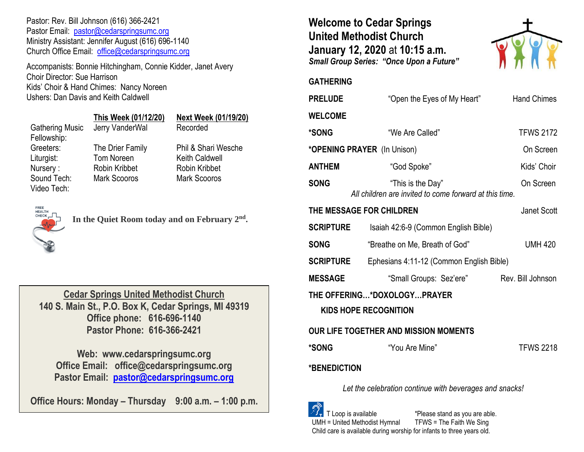Pastor: Rev. Bill Johnson (616) 366-2421 Pastor Email: [pastor@cedarspringsumc.org](mailto:pastor@cedarspringsumc.org) Ministry Assistant: Jennifer August (616) 696-1140 Church Office Email: [office@cedarspringsumc.org](mailto:office@cedarspringsumc.org)

Accompanists: Bonnie Hitchingham, Connie Kidder, Janet Avery Choir Director: Sue Harrison Kids' Choir & Hand Chimes: Nancy Noreen Ushers: Dan Davis and Keith Caldwell

|                                       | This Week (01/12/20) | <b>Next Week (01/19/20)</b> |  |
|---------------------------------------|----------------------|-----------------------------|--|
| <b>Gathering Music</b><br>Fellowship: | Jerry VanderWal      | Recorded                    |  |
| Greeters:                             | The Drier Family     | Phil & Shari Wesche         |  |
| Liturgist:                            | Tom Noreen           | <b>Keith Caldwell</b>       |  |
| Nursery:                              | Robin Kribbet        | <b>Robin Kribbet</b>        |  |
| Sound Tech:<br>Video Tech:            | <b>Mark Scooros</b>  | <b>Mark Scooros</b>         |  |



**In the Quiet Room today and on February 2nd .** 

**Cedar Springs United Methodist Church 140 S. Main St., P.O. Box K, Cedar Springs, MI 49319 Office phone: 616-696-1140 Pastor Phone: 616-366-2421**

**Web: www.cedarspringsumc.org Office Email: office@cedarspringsumc.org Pastor Email: [pastor@cedarspringsumc.org](mailto:pastor@cedarspringsumc.org)**

**Office Hours: Monday – Thursday 9:00 a.m. – 1:00 p.m.**

**Welcome to Cedar Springs United Methodist Church January 12, 2020** at **10:15 a.m.**  *Small Group Series: "Once Upon a Future"*



## **GATHERING**

| <b>PRELUDE</b>                                              | "Open the Eyes of My Heart"                                                 | <b>Hand Chimes</b> |  |
|-------------------------------------------------------------|-----------------------------------------------------------------------------|--------------------|--|
| <b>WELCOME</b>                                              |                                                                             |                    |  |
| *SONG                                                       | "We Are Called"                                                             | <b>TFWS 2172</b>   |  |
| *OPENING PRAYER (In Unison)                                 |                                                                             | On Screen          |  |
| <b>ANTHEM</b>                                               | "God Spoke"                                                                 | Kids' Choir        |  |
| <b>SONG</b>                                                 | "This is the Day"<br>All children are invited to come forward at this time. | On Screen          |  |
| THE MESSAGE FOR CHILDREN                                    |                                                                             | Janet Scott        |  |
| <b>SCRIPTURE</b>                                            | Isaiah 42:6-9 (Common English Bible)                                        |                    |  |
| <b>SONG</b>                                                 | "Breathe on Me, Breath of God"                                              | <b>UMH 420</b>     |  |
| <b>SCRIPTURE</b>                                            | Ephesians 4:11-12 (Common English Bible)                                    |                    |  |
| <b>MESSAGE</b>                                              | "Small Groups: Sez'ere"                                                     | Rev. Bill Johnson  |  |
| THE OFFERING*DOXOLOGYPRAYER<br><b>KIDS HOPE RECOGNITION</b> |                                                                             |                    |  |
| OUR LIFE TOGETHER AND MISSION MOMENTS                       |                                                                             |                    |  |
| *SONG                                                       | "You Are Mine"                                                              | <b>TFWS 2218</b>   |  |
| <b>*BENEDICTION</b>                                         |                                                                             |                    |  |
| Let the celebration continue with beverages and snacks!     |                                                                             |                    |  |

 T Loop is available \*Please stand as you are able. UMH = United Methodist Hymnal TFWS = The Faith We Sing Child care is available during worship for infants to three years old.